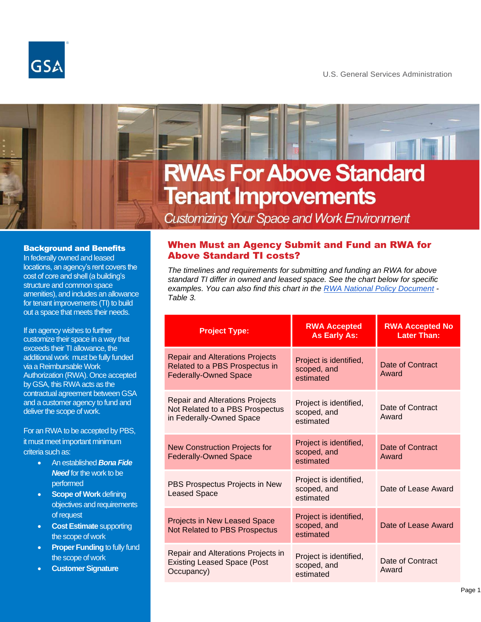

U.S. General Services Administration

# **RWAs For Above Standard Tenant Improvements**

# **Customizing Your Space and Work Environment**

#### Background and Benefits

In federally owned and leased locations, an agency's rent covers the cost of core and shell (a building's structure and common space amenities), and includes an allowance for tenant improvements (TI) to build out a space that meets their needs.

If an agency wishes to further customize their space in a way that exceeds their TI allowance, the additional work must be fully funded via a Reimbursable Work Authorization (RWA). Once accepted by GSA, this RWA acts as the contractual agreement between GSA and a customer agency to fund and deliver the scope of work.

For an RWA to be accepted by PBS, it must meet important minimum criteria such as:

- An established *Bona Fide Need* for the work to be performed
- **Scope of Work defining** objectives and requirements of request
- **Cost Estimate** supporting the scope of work
- **Proper Funding** to fully fund the scope of work
- **Customer Signature**

## When Must an Agency Submit and Fund an RWA for Above Standard TI costs?

*The timelines and requirements for submitting and funding an RWA for above standard TI differ in owned and leased space. See the chart below for specific examples. You can also find this chart in the [RWA National Policy Document](https://www.gsa.gov/node/13492) - Table 3.*

| <b>Project Type:</b>                                                                                     | <b>RWA Accepted</b><br><b>As Early As:</b>         | <b>RWA Accepted No</b><br><b>Later Than:</b> |
|----------------------------------------------------------------------------------------------------------|----------------------------------------------------|----------------------------------------------|
| <b>Repair and Alterations Projects</b><br>Related to a PBS Prospectus in<br><b>Federally-Owned Space</b> | Project is identified,<br>scoped, and<br>estimated | Date of Contract<br>Award                    |
| <b>Repair and Alterations Projects</b><br>Not Related to a PBS Prospectus<br>in Federally-Owned Space    | Project is identified,<br>scoped, and<br>estimated | Date of Contract<br>Award                    |
| New Construction Projects for<br><b>Federally-Owned Space</b>                                            | Project is identified,<br>scoped, and<br>estimated | Date of Contract<br>Award                    |
| PBS Prospectus Projects in New<br><b>Leased Space</b>                                                    | Project is identified,<br>scoped, and<br>estimated | Date of Lease Award                          |
| Projects in New Leased Space<br>Not Related to PBS Prospectus                                            | Project is identified,<br>scoped, and<br>estimated | Date of Lease Award                          |
| Repair and Alterations Projects in<br><b>Existing Leased Space (Post</b><br>Occupancy)                   | Project is identified,<br>scoped, and<br>estimated | Date of Contract<br>Award                    |